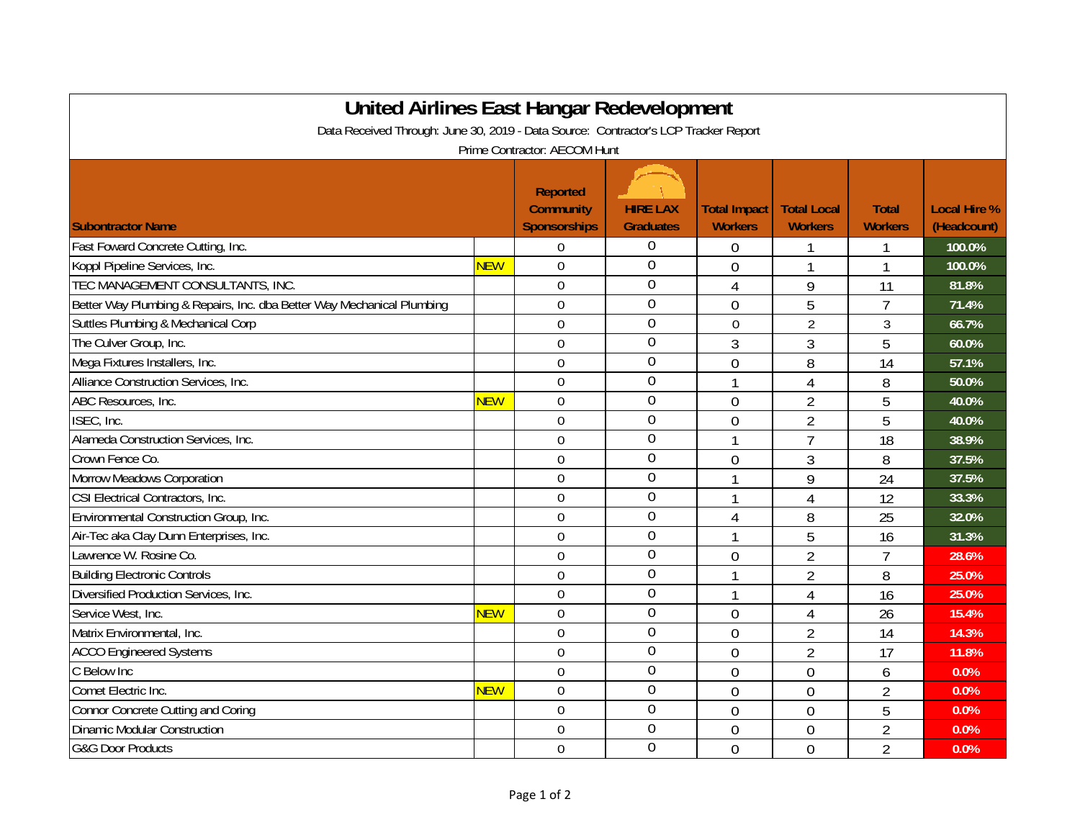| <b>United Airlines East Hangar Redevelopment</b><br>Data Received Through: June 30, 2019 - Data Source: Contractor's LCP Tracker Report |            |                                                            |                                     |                                       |                                      |                                |                                    |  |  |  |  |  |
|-----------------------------------------------------------------------------------------------------------------------------------------|------------|------------------------------------------------------------|-------------------------------------|---------------------------------------|--------------------------------------|--------------------------------|------------------------------------|--|--|--|--|--|
| Prime Contractor: AECOM Hunt                                                                                                            |            |                                                            |                                     |                                       |                                      |                                |                                    |  |  |  |  |  |
| <b>Subontractor Name</b>                                                                                                                |            | <b>Reported</b><br><b>Community</b><br><b>Sponsorships</b> | <b>HIRE LAX</b><br><b>Graduates</b> | <b>Total Impact</b><br><b>Workers</b> | <b>Total Local</b><br><b>Workers</b> | <b>Total</b><br><b>Workers</b> | <b>Local Hire %</b><br>(Headcount) |  |  |  |  |  |
| Fast Foward Concrete Cutting, Inc.                                                                                                      |            | 0                                                          | $\boldsymbol{0}$                    | 0                                     |                                      | 1                              | 100.0%                             |  |  |  |  |  |
| Koppl Pipeline Services, Inc.                                                                                                           | <b>NEW</b> | $\mathbf 0$                                                | $\mathbf 0$                         | 0                                     |                                      | 1                              | 100.0%                             |  |  |  |  |  |
| TEC MANAGEMENT CONSULTANTS, INC.                                                                                                        |            | $\theta$                                                   | $\mathbf 0$                         | 4                                     | 9                                    | 11                             | 81.8%                              |  |  |  |  |  |
| Better Way Plumbing & Repairs, Inc. dba Better Way Mechanical Plumbing                                                                  |            | $\overline{0}$                                             | $\mathbf 0$                         | 0                                     | 5                                    | $\overline{7}$                 | 71.4%                              |  |  |  |  |  |
| Suttles Plumbing & Mechanical Corp                                                                                                      |            | $\overline{0}$                                             | $\overline{0}$                      | 0                                     | $\overline{2}$                       | 3                              | 66.7%                              |  |  |  |  |  |
| The Culver Group, Inc.                                                                                                                  |            | $\overline{0}$                                             | $\overline{0}$                      | 3                                     | 3                                    | 5                              | 60.0%                              |  |  |  |  |  |
| Mega Fixtures Installers, Inc.                                                                                                          |            | $\mathbf 0$                                                | $\boldsymbol{0}$                    | $\mathbf 0$                           | 8                                    | 14                             | 57.1%                              |  |  |  |  |  |
| Alliance Construction Services, Inc.                                                                                                    |            | $\overline{0}$                                             | $\mathbf 0$                         | 1                                     | 4                                    | 8                              | 50.0%                              |  |  |  |  |  |
| ABC Resources, Inc.                                                                                                                     | <b>NEW</b> | $\boldsymbol{0}$                                           | $\overline{0}$                      | $\overline{0}$                        | $\overline{2}$                       | 5                              | 40.0%                              |  |  |  |  |  |
| ISEC, Inc.                                                                                                                              |            | $\overline{0}$                                             | $\boldsymbol{0}$                    | $\overline{0}$                        | $\overline{2}$                       | 5                              | 40.0%                              |  |  |  |  |  |
| Alameda Construction Services, Inc.                                                                                                     |            | $\mathbf 0$                                                | $\overline{0}$                      | 1                                     | $\overline{7}$                       | 18                             | 38.9%                              |  |  |  |  |  |
| Crown Fence Co.                                                                                                                         |            | $\mathbf 0$                                                | $\overline{0}$                      | $\overline{0}$                        | 3                                    | 8                              | 37.5%                              |  |  |  |  |  |
| Morrow Meadows Corporation                                                                                                              |            | $\mathbf 0$                                                | $\boldsymbol{0}$                    | 1                                     | 9                                    | 24                             | 37.5%                              |  |  |  |  |  |
| CSI Electrical Contractors, Inc.                                                                                                        |            | $\boldsymbol{0}$                                           | $\overline{0}$                      | 1                                     | 4                                    | 12                             | 33.3%                              |  |  |  |  |  |
| Environmental Construction Group, Inc.                                                                                                  |            | $\mathbf 0$                                                | $\mathbf 0$                         | $\overline{4}$                        | 8                                    | 25                             | 32.0%                              |  |  |  |  |  |
| Air-Tec aka Clay Dunn Enterprises, Inc.                                                                                                 |            | $\mathbf 0$                                                | $\mathbf 0$                         | 1                                     | 5                                    | 16                             | 31.3%                              |  |  |  |  |  |
| Lawrence W. Rosine Co.                                                                                                                  |            | $\mathbf 0$                                                | $\mathbf 0$                         | $\overline{0}$                        | $\overline{2}$                       | $\overline{7}$                 | 28.6%                              |  |  |  |  |  |
| <b>Building Electronic Controls</b>                                                                                                     |            | $\mathbf 0$                                                | $\overline{0}$                      | 1                                     | $\overline{2}$                       | 8                              | 25.0%                              |  |  |  |  |  |
| Diversified Production Services, Inc.                                                                                                   |            | $\mathbf 0$                                                | $\mathbf 0$                         | 1                                     | $\overline{4}$                       | 16                             | 25.0%                              |  |  |  |  |  |
| Service West, Inc.                                                                                                                      | <b>NEW</b> | $\mathbf 0$                                                | $\boldsymbol{0}$                    | $\overline{0}$                        | $\overline{4}$                       | 26                             | 15.4%                              |  |  |  |  |  |
| Matrix Environmental, Inc.                                                                                                              |            | $\mathbf 0$                                                | $\mathbf 0$                         | $\overline{0}$                        | $\overline{2}$                       | 14                             | 14.3%                              |  |  |  |  |  |
| <b>ACCO Engineered Systems</b>                                                                                                          |            | $\mathbf 0$                                                | $\mathbf 0$                         | $\overline{0}$                        | $\overline{2}$                       | 17                             | 11.8%                              |  |  |  |  |  |
| C Below Inc                                                                                                                             |            | $\overline{0}$                                             | $\overline{0}$                      | $\overline{0}$                        | $\overline{0}$                       | 6                              | 0.0%                               |  |  |  |  |  |
| Comet Electric Inc.                                                                                                                     | <b>NEW</b> | $\mathbf 0$                                                | $\overline{0}$                      | $\overline{0}$                        | $\overline{0}$                       | $\overline{2}$                 | 0.0%                               |  |  |  |  |  |
| Connor Concrete Cutting and Coring                                                                                                      |            | $\overline{0}$                                             | $\mathbf 0$                         | $\overline{0}$                        | $\overline{0}$                       | 5                              | 0.0%                               |  |  |  |  |  |
| <b>Dinamic Modular Construction</b>                                                                                                     |            | $\mathbf 0$                                                | $\mathbf 0$                         | $\overline{0}$                        | $\overline{0}$                       | $\overline{2}$                 | 0.0%                               |  |  |  |  |  |
| <b>G&amp;G Door Products</b>                                                                                                            |            | $\mathbf 0$                                                | $\overline{0}$                      | $\overline{0}$                        | $\overline{0}$                       | $\overline{2}$                 | 0.0%                               |  |  |  |  |  |